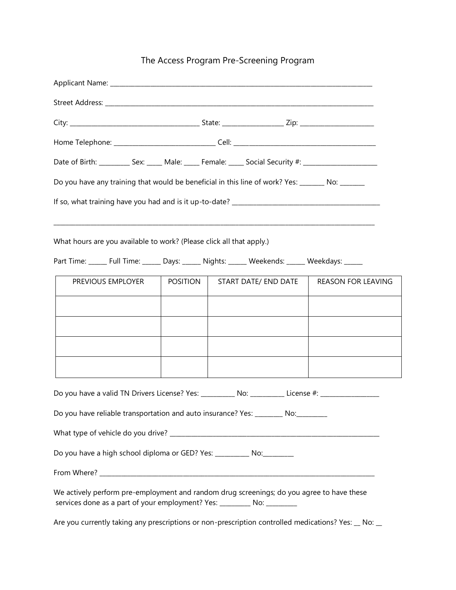## The Access Program Pre-Screening Program

| Date of Birth: _________ Sex: ____ Male: ____ Female: ____ Social Security #: _____________________                                                                   |                 |                      |                           |
|-----------------------------------------------------------------------------------------------------------------------------------------------------------------------|-----------------|----------------------|---------------------------|
| Do you have any training that would be beneficial in this line of work? Yes: _______ No: ______                                                                       |                 |                      |                           |
|                                                                                                                                                                       |                 |                      |                           |
| <u> 1989 - Johann John Harry, mars ar yn y brenin y brenin y brenin y brenin y brenin y brenin y brenin y brenin</u>                                                  |                 |                      |                           |
| What hours are you available to work? (Please click all that apply.)                                                                                                  |                 |                      |                           |
| Part Time: _____ Full Time: _____ Days: _____ Nights: _____ Weekends: _____ Weekdays: _____                                                                           |                 |                      |                           |
| PREVIOUS EMPLOYER                                                                                                                                                     | <b>POSITION</b> | START DATE/ END DATE | <b>REASON FOR LEAVING</b> |
|                                                                                                                                                                       |                 |                      |                           |
|                                                                                                                                                                       |                 |                      |                           |
|                                                                                                                                                                       |                 |                      |                           |
|                                                                                                                                                                       |                 |                      |                           |
| Do you have a valid TN Drivers License? Yes: __________ No: _________ License #: __________________                                                                   |                 |                      |                           |
| Do you have reliable transportation and auto insurance? Yes: ________ No:________                                                                                     |                 |                      |                           |
|                                                                                                                                                                       |                 |                      |                           |
| Do you have a high school diploma or GED? Yes: ___________ No: _________                                                                                              |                 |                      |                           |
|                                                                                                                                                                       |                 |                      |                           |
| We actively perform pre-employment and random drug screenings; do you agree to have these<br>services done as a part of your employment? Yes: _________ No: _________ |                 |                      |                           |
| Are you currently taking any prescriptions or non-prescription controlled medications? Yes: _ No: _                                                                   |                 |                      |                           |